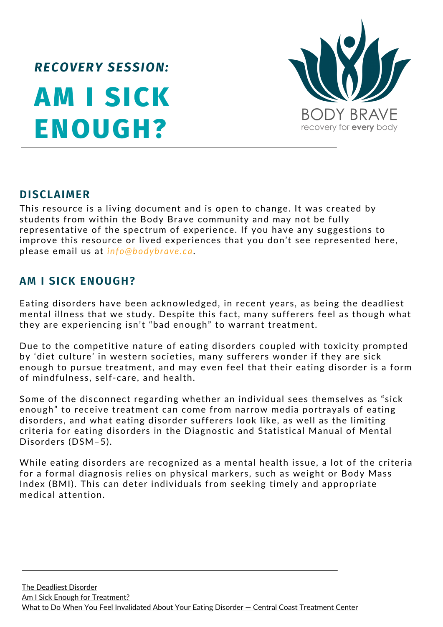## **AM I SICK ENOUGH?** *RECOVERY SESSION:*



#### **DISCLAIMER**

This resource is a living document and is open to change. It was created by students from within the Body Brave community and may not be fully representative of the spectrum of experience. If you have any suggestions to improve this resource or lived experiences that you don't see represented here, please email us at *info@bodybrave.ca*.

#### **AM I SICK ENOUGH?**

Eating disorders have been acknowledged, in recent years, as being the deadliest mental illness that we study. Despite this fact, many sufferers feel as though what they are experiencing isn't "bad enough" to warrant treatment.

Due to the competitive nature of eating disorders coupled with toxicity prompted by 'diet culture' in western societies, many sufferers wonder if they are sick enough to pursue treatment, and may even feel that their eating disorder is a form of mindfulness, self-care, and health.

Some of the disconnect regarding whether an individual sees themselves as "sick enough" to receive treatment can come from narrow media portrayals of eating disorders, and what eating disorder sufferers look like, as well as the limiting criteria for eating disorders in the Diagnostic and Statistical Manual of Mental Disorders (DSM–5).

While eating disorders are recognized as a mental health issue, a lot of the criteria for a formal diagnosis relies on physical markers, such as weight or Body Mass Index (BMI). This can deter individuals from seeking timely and appropriate medical attention.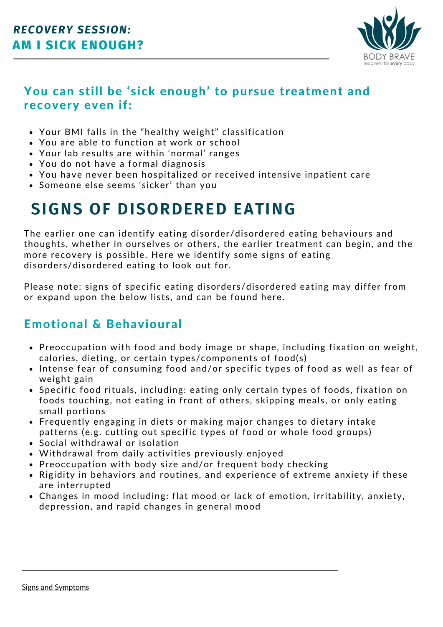

#### You can still be 'sick enough' to pursue treatment and recovery even if:

- Your BMI falls in the "healthy weight" classification
- You are able to function at work or school
- Your lab results are within 'normal' ranges
- You do not have a formal diagnosis
- You have never been hospitalized or received intensive inpatient care
- Someone else seems 'sicker' than you

## **SIGNS OF DISORDERED EATING**

The earlier one can identify eating disorder/disordered eating behaviours and thoughts, whether in ourselves or others, the earlier treatment can begin, and the more recovery is possible. Here we identify some signs of eating disorders/disordered eating to look out for.

Please note: signs of specific eating disorders/disordered eating may differ from or expand upon the below lists, and can be found here.

#### Emotional & Behavioural

- Preoccupation with food and body image or shape, including fixation on weight, calories, dieting, or certain types/components of food(s)
- Intense fear of consuming food and/or specific types of food as well as fear of weight gain
- Specific food rituals, including: eating only certain types of foods, fixation on foods touching, not eating in front of others, skipping meals, or only eating small portions
- Frequently engaging in diets or making major changes to dietary intake patterns (e.g. cutting out specific types of food or whole food groups)
- Social withdrawal or isolation
- Withdrawal from daily activities previously enjoyed
- Preoccupation with body size and/or frequent body checking
- Rigidity in behaviors and routines, and experience of extreme anxiety if these are interrupted
- Changes in mood including: flat mood or lack of emotion, irritability, anxiety, depression, and rapid changes in general mood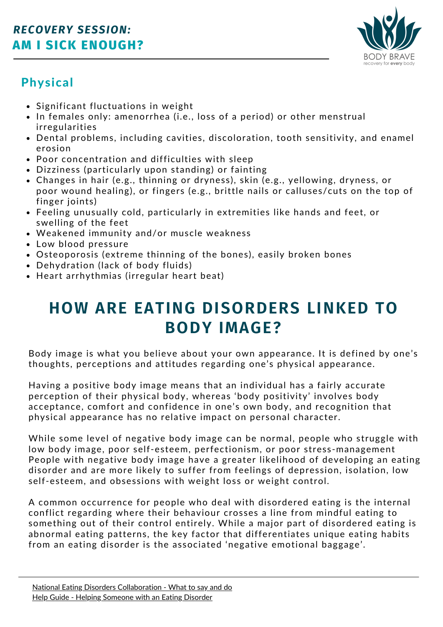

#### Physical

- Significant fluctuations in weight
- In females only: amenorrhea (i.e., loss of a period) or other menstrual irregularities
- Dental problems, including cavities, discoloration, tooth sensitivity, and enamel erosion
- Poor concentration and difficulties with sleep
- Dizziness (particularly upon standing) or fainting
- Changes in hair (e.g., thinning or dryness), skin (e.g., yellowing, dryness, or poor wound healing), or fingers (e.g., brittle nails or calluses/cuts on the top of finger joints)
- Feeling unusually cold, particularly in extremities like hands and feet, or swelling of the feet
- Weakened immunity and/or muscle weakness
- Low blood pressure
- Osteoporosis (extreme thinning of the bones), easily broken bones
- Dehydration (lack of body fluids)
- Heart arrhythmias (irregular heart beat)

## **HOW ARE EATING DISORDERS LINKED TO BODY IMAGE?**

Body image is what you believe about your own appearance. It is defined by one's thoughts, perceptions and attitudes regarding one's physical appearance.

Having a positive body image means that an individual has a fairly accurate perception of their physical body, whereas 'body positivity' involves body acceptance, comfort and confidence in one's own body, and recognition that physical appearance has no relative impact on personal character.

While some level of negative body image can be normal, people who struggle with low body image, poor self-esteem, perfectionism, or poor stress-management People with negative body image have a greater likelihood of developing an eating disorder and are more likely to suffer from feelings of depression, isolation, low self-esteem, and obsessions with weight loss or weight control.

A common occurrence for people who deal with disordered eating is the internal conflict regarding where their behaviour crosses a line from mindful eating to something out of their control entirely. While a major part of disordered eating is abnormal eating patterns, the key factor that differentiates unique eating habits from an eating disorder is the associated 'negative emotional baggage'.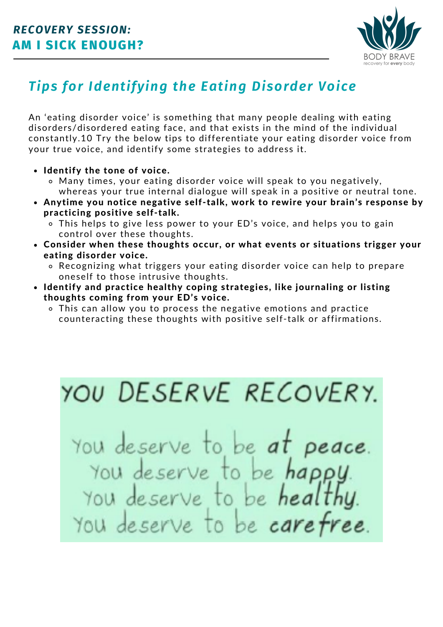

## *Tips for Identifying the Eating Disorder Voice*

An 'eating disorder voice' is something that many people dealing with eating disorders/disordered eating face, and that exists in the mind of the individual constantly.10 Try the below tips to differentiate your eating disorder voice from your true voice, and identify some strategies to address it.

- Identify the tone of voice.
	- Many times, your eating disorder voice will speak to you negatively, whereas your true internal dialogue will speak in a positive or neutral tone.
- Anytime you notice negative self-talk, work to rewire your brain's response by practicing positive self-talk.
	- This helps to give less power to your ED's voice, and helps you to gain control over these thoughts.
- Consider when these thoughts occur, or what events or situations trigger your eating disorder voice.
	- Recognizing what triggers your eating disorder voice can help to prepare oneself to those intrusive thoughts.
- Identify and practice healthy coping strategies, like journaling or listing thoughts coming from your ED's voice.
	- This can allow you to process the negative emotions and practice counteracting these thoughts with positive self-talk or affirmations.

# YOU DESERVE RECOVERY. You deserve to be at peace. You deserve to be happy.<br>You deserve to be healthy. You deserve to be carefree.